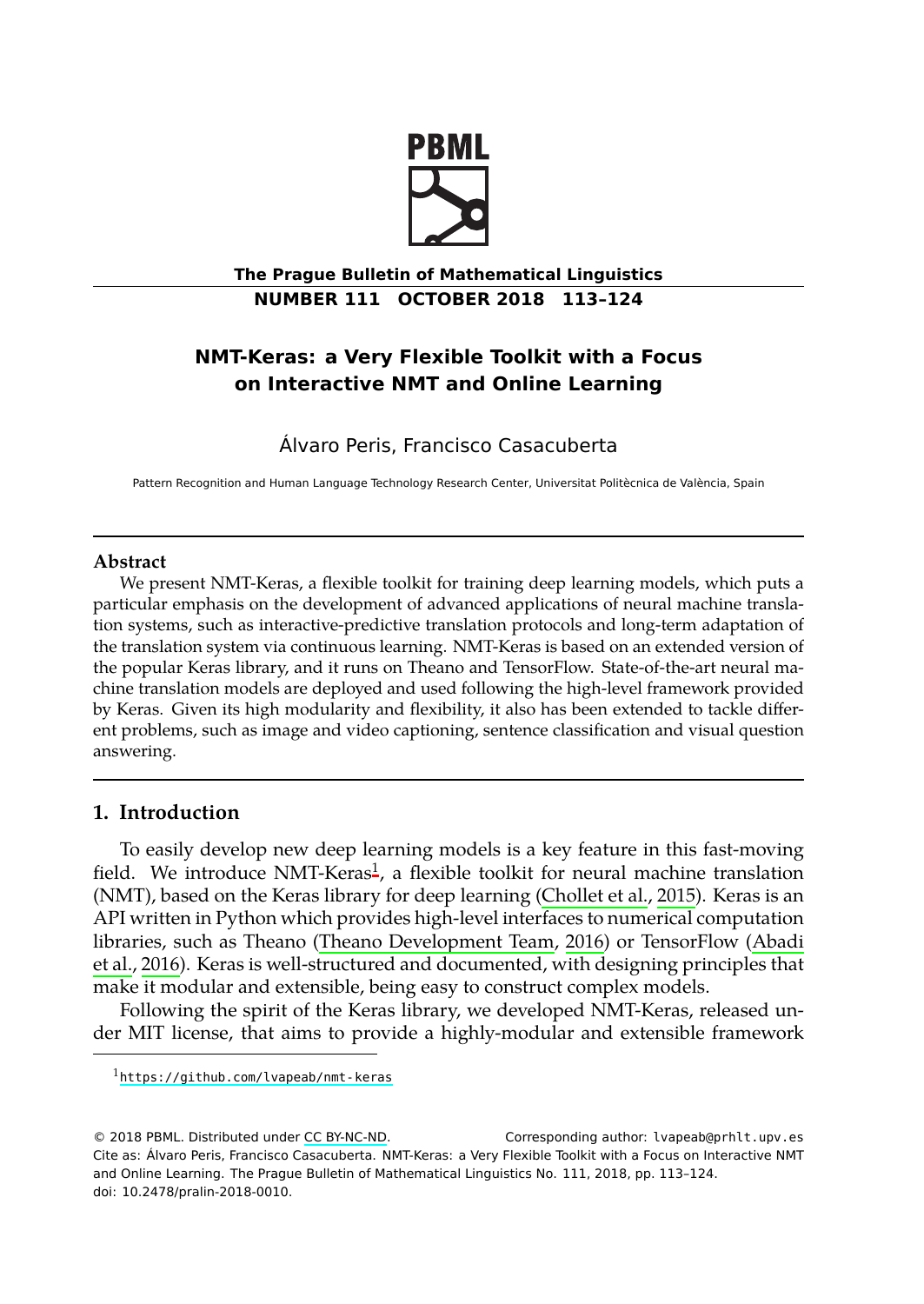

**The Prague Bulletin of Mathematical Linguistics NUMBER 111 OCTOBER 2018 113–124**

# **NMT-Keras: a Very Flexible Toolkit with a Focus on Interactive NMT and Online Learning**

Álvaro Peris, Francisco Casacuberta

Pattern Recognition and Human Language Technology Research Center, Universitat Politècnica de València, Spain

## **Abstract**

<span id="page-0-1"></span>We present NMT-Keras, a flexible toolkit for training deep learning models, which puts a particular emphasis on the development of advanced applications of neural machine translation systems, such as interactive-predictive translation protocols and long-term adaptation of the translation system via continuou[s](#page-0-0) learning. NMT-Keras is based on an extended version of the popular Keras library, and it runs on Theano and TensorFlow. State-of-the-art neural machine translation models are deployed and used following [the high-level framew](#page-8-0)ork provided by Keras. Given its high modularity and flexibility, it also has been extended to tackle different problems, such as image [and video captioning, sentence classifi](#page-11-0)cation and visual q[uestion](#page-8-1) [answ](#page-8-1)e[ring.](#page-8-1)

## **1. Introduction**

<span id="page-0-0"></span>To easily develop new deep learning models is a key feature in this fast-moving fiel[d. We introduce NMT-Keras](https://github.com/lvapeab/nmt-keras)<sup>1</sup>, a flexible toolkit for neural machine translation (NMT), based on the Keras library for deep learning (Chollet et al., 2015). Keras is an API written in Python w[hich provid](http://creativecommons.org/licenses/by-nc-nd/3.0/)es high-level interfaces to numerical computation libraries, such as Theano (Theano Development Team, 2016) or TensorFlow (Abadi et al., 2016). Keras is well-structured and documented, with designing principles that make it modular and extensible, being easy to construct complex models.

Following the spirit of the Keras library, we developed NMT-Keras, released under MIT license, that aims to provide a highly-modular and extensible framework

© 2018 PBML. Distributed under CC BY-NC-ND. Corresponding author: lvapeab@prhlt.upv.es Cite as: Álvaro Peris, Francisco Casacuberta. NMT-Keras: a Very Flexible Toolkit with a Focus on Interactive NMT and Online Learning. The Prague Bulletin of Mathematical Linguistics No. 111, 2018, pp. 113–124. doi: 10.2478/pralin-2018-0010.

<sup>1</sup>https://github.com/lvapeab/nmt-keras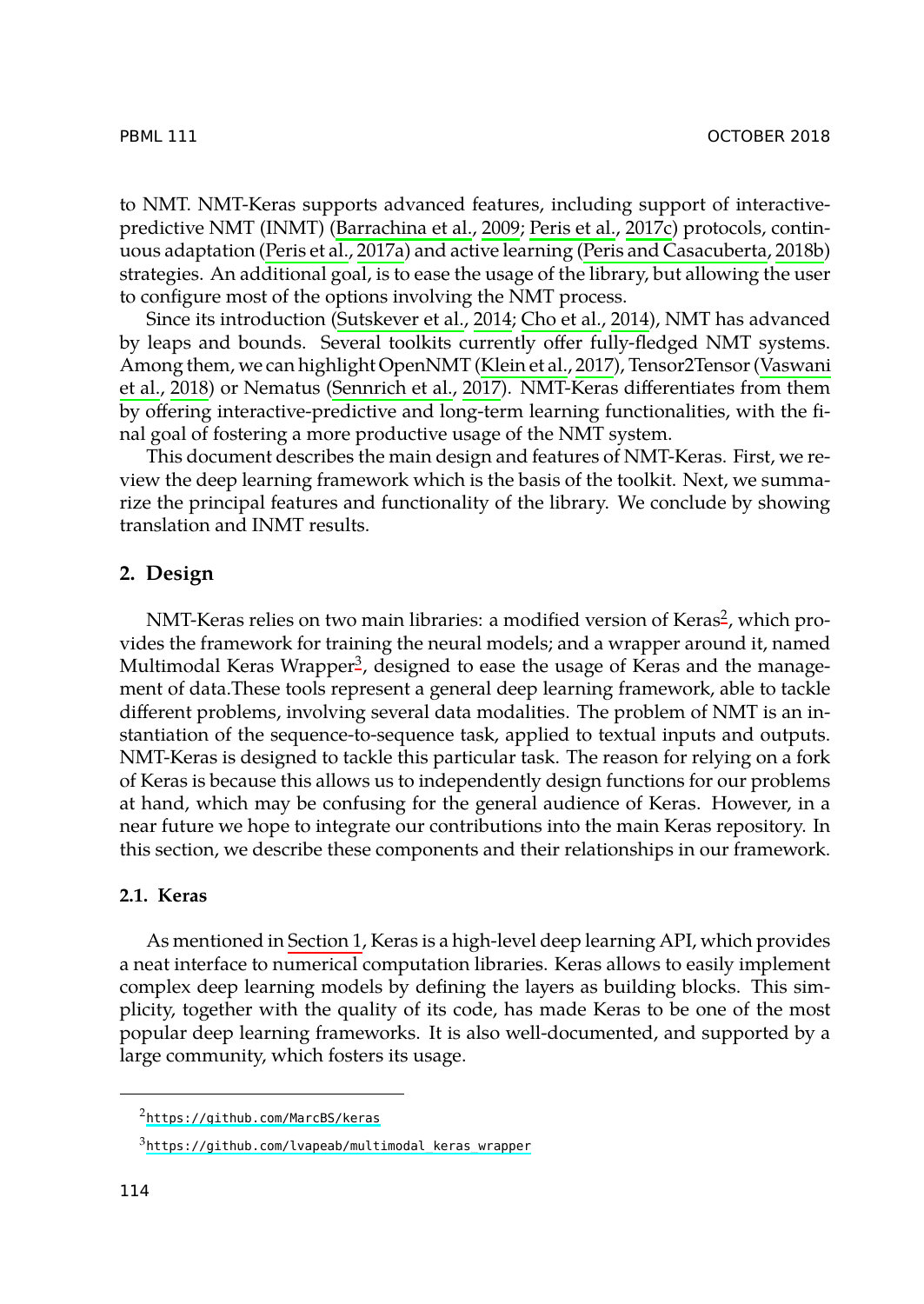PBML 111 OCTO[BER 2018](#page-11-1)

to NMT. NMT-Keras supports advanced features, including support of interactivepredictive NMT (INMT) (Barrachina et al., 2009; Peris et al., 2017c) protocols, continuous adaptation (Peris et al., 2017a) and active learning (Peris and Casacuberta, 2018b) strategies. An additional goal, is to ease the usage of the library, but allowing the user to configure most of the options involving the NMT process.

Since its introduction (Sutskever et al., 2014; Cho et al., 2014), NMT has advanced by leaps and bounds. Several toolkits currently offer fully-fledged NMT systems. Among them, we can highlight OpenNMT (Klein et al., 2017), Tensor2Tensor (Vaswani et al., 2018) or Nematus (Sennrich et al., 2017). NMT-Keras differentiat[es](#page-1-0) from them by offering interactive-predictive and long-term learning functionalities, with the final goal of fostering a more [p](#page-1-1)roductive usage of the NMT system.

This document describes the main design and features of NMT-Keras. First, we review the deep learning framework which is the basis of the toolkit. Next, we summarize the principal features and functionality of the library. We conclude by showing translation and INMT results.

## **2. Design**

NMT-Keras relies on two main libraries: a modified version of Keras<sup>2</sup>, which provides the framework for training the neural models; and a wrapper around it, named Multimodal Keras Wrapper<sup>3</sup>, designed to ease the usage of Keras and the management of data.These tools represent a general deep learning framework, able to tackle different problems, involving several data modalities. The problem of NMT is an instantiation of the s[equence-to](#page-0-1)-sequence task, applied to textual inputs and outputs. NMT-Keras is designed to tackle this particular task. The reason for relying on a fork of Keras is because this allows us to independently design functions for our problems at hand, which may be confusing for the general audience of Keras. However, in a near future we hope to integrate our contributions into the main Keras repository. In this section, we describe these components and their relationships in our framework.

## <span id="page-1-0"></span>**2.1[. Keras](https://github.com/MarcBS/keras)**

<span id="page-1-1"></span>As mentioned in [Section 1, Keras is a high-leve](https://github.com/lvapeab/multimodal_keras_wrapper)l deep learning API, which provides a neat interface to numerical computation libraries. Keras allows to easily implement complex deep learning models by defining the layers as building blocks. This simplicity, together with the quality of its code, has made Keras to be one of the most popular deep learning frameworks. It is also well-documented, and supported by a large community, which fosters its usage.

<sup>2</sup>https://github.com/MarcBS/keras

<sup>3</sup>https://github.com/lvapeab/multimodal\_keras\_wrapper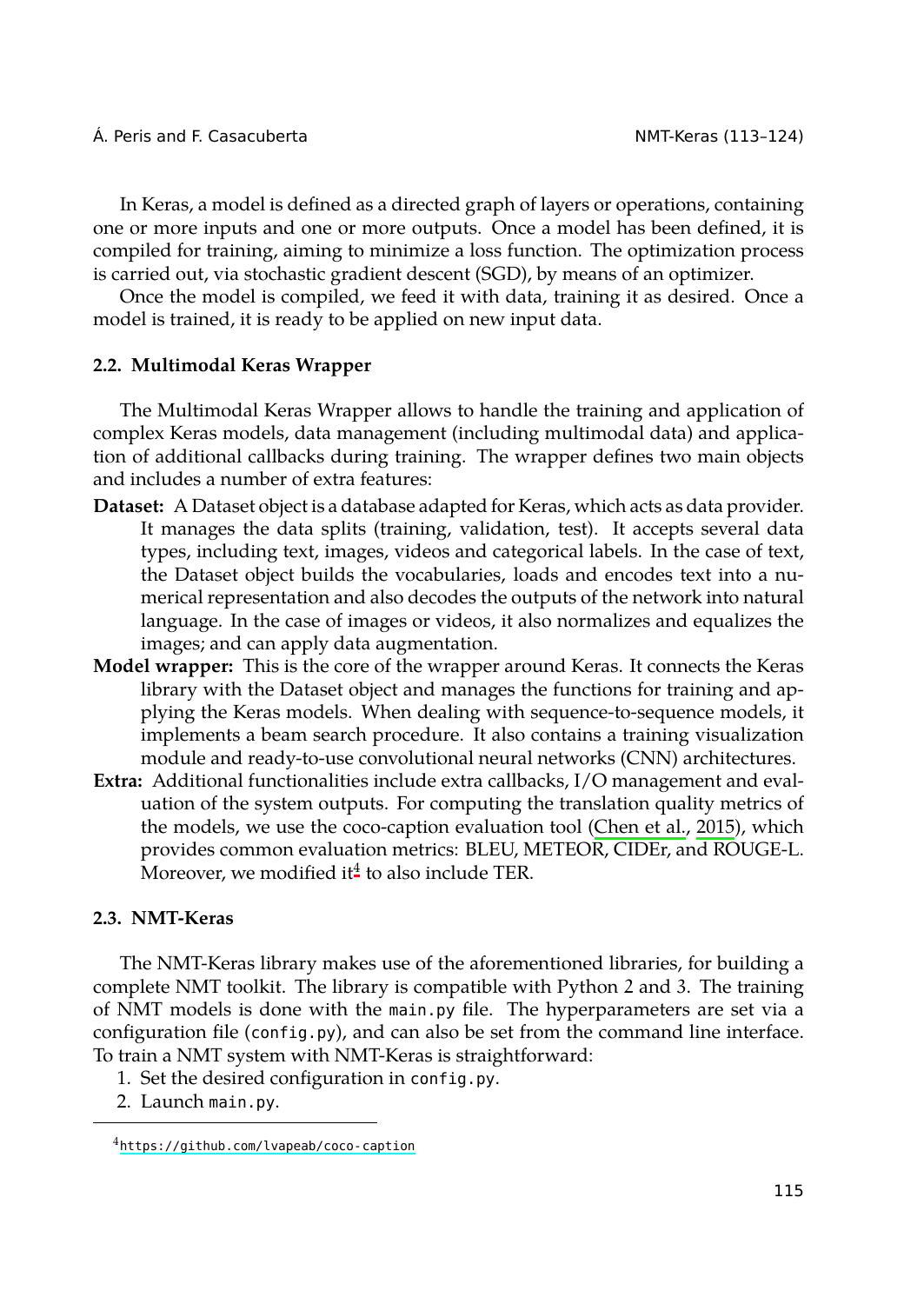In Keras, a model is defined as a directed graph of layers or operations, containing one or more inputs and one or more outputs. Once a model has been defined, it is compiled for training, aiming to minimize a loss function. The optimization process is carried out, via stochastic gradient descent (SGD), by means of an optimizer.

Once the model is compiled, we feed it with data, training it as desired. Once a model is trained, it is ready to be applied on new input data.

#### **2.2. Multimodal Keras Wrapper**

The Multimodal Keras Wrapper allows to handle the training and application of complex Keras models, data management (including multimodal data) and application of additional callbacks during training. The wrapper defines two main objects and includes a number of extra features:

- **Dataset:** A Dataset object is a database adapted for Keras, which acts as data provider. It manages the data splits (training, validation, test). It accepts several data types, including text, images, videos and categorical labels. In the case of text, the Dataset object builds the vocabularies, loads and encodes text into a numerical representation and also decodes the outputs of the network into natural language. In the case of images or videos, it also nor[malizes and equa](#page-8-2)lizes the images; and can apply d[at](#page-2-0)a augmentation.
- **Model wrapper:** This is the core of the wrapper around Keras. It connects the Keras library with the Dataset object and manages the functions for training and applying the Keras models. When dealing with sequence-to-sequence models, it implements a beam search procedure. It also contains a training visualization module and ready-to-use convolutional neural networks (CNN) architectures.
- **Extra:** Additional functionalities include extra callbacks, I/O management and evaluation of the system outputs. For computing the translation quality metrics of the models, we use the coco-caption evaluation tool (Chen et al., 2015), which provides common evaluation metrics: BLEU, METEOR, CIDEr, and ROUGE-L. Moreover, we modified it<sup>4</sup> to also include TER.

## <span id="page-2-0"></span>**2.3[. NMT-Keras](https://github.com/lvapeab/coco-caption)**

The NMT-Keras library makes use of the aforementioned libraries, for building a complete NMT toolkit. The library is compatible with Python 2 and 3. The training of NMT models is done with the main.py file. The hyperparameters are set via a configuration file (config.py), and can also be set from the command line interface. To train a NMT system with NMT-Keras is straightforward:

- 1. Set the desired configuration in config.py.
- 2. Launch main.py.

<sup>4</sup>https://github.com/lvapeab/coco-caption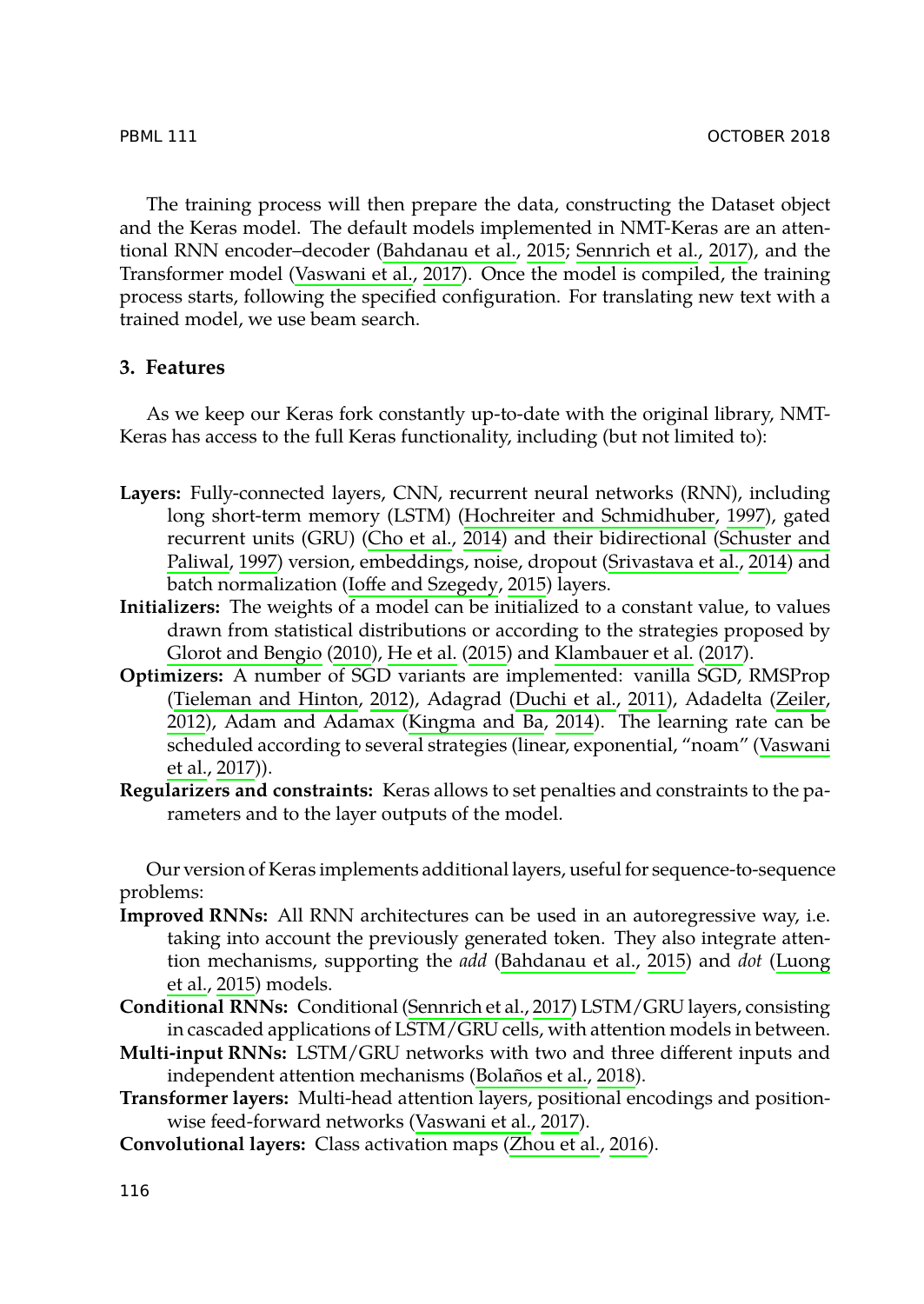The training process will then prepare the data, constructing the Dataset object and the Keras model. The default models implemented in NMT-Keras are an attentional RNN encoder–decoder (Bahdanau et al., 2015; Sennrich et al., 2017), and the Transformer model (Vaswani et al., 2017). Once the model is compiled, the training process starts, following the specified co[nfiguration. For translating new tex](#page-9-0)t with a trained model, we use beam [search.](#page-8-3)

## **3. F[eatures](#page-10-0)**

As we keep our Keras fork constantly up-to-date with the original library, NMT-Kera[s has access to the full Ker](#page-9-1)[as functionality](#page-9-2), incl[uding \(but not limited t](#page-9-3)o):

- **Layers:** [Fully-connected layers, CN](#page-11-2)N, recurre[nt neural networks](#page-9-4) (RNN), inc[luding](#page-11-3) [long](#page-11-3) short-term memory (L[STM\) \(Hochreite](#page-9-5)r [and](#page-9-5) Schmidhuber, 1997), gated recur[rent u](#page-11-4)nits (GRU) (Cho et al., 2014) and their bidirectional (Sch[uster and](#page-11-4) [Paliw](#page-11-4)al, 1997) version, embeddings, noise, dropout (Srivastava et al., 2014) and batch normalization (Ioffe and Szegedy, 2015) layers.
- **Initializers:** The weights of a model can be initialized to a constant value, to values drawn from statistical distributions or according to the strategies proposed by Glorot and Bengio (2010), He et al. (2015) and Klambauer et al. (2017).
- **Optimizers:** A number of SGD variants are implemented: vanilla SGD, RMSProp (Tieleman and Hinton, 2012), Adagrad (Duchi et al., 2011), Adadelta (Zeiler, 2012), Adam and Adamax (Kingma and Ba, 2014). The learning rate can be scheduled according to several strategie[s \(linear, exponential, "](#page-8-4)noam" (V[aswani](#page-10-1) [et al.](#page-10-1), [2017](#page-10-1))).
- **Regularizers and constraints:** Ke[ras allows to set pen](#page-10-2)alties and constraints to the parameters and to the layer outputs of the model.

Our version of Keras implements additi[onal layers, useful fo](#page-8-5)r sequence-to-sequence problems:

- **Improved RNNs:** All RNN archit[ectures can be used](#page-11-4) in an autoregressive way, i.e. taking into account the previously gene[rated token](#page-11-5). [They](#page-11-5) also integrate attention mechanisms, supporting the *add* (Bahdanau et al., 2015) and *dot* (Luong et al., 2015) models.
- **Conditional RNNs:** Conditional (Sennrich et al., 2017) LSTM/GRU layers, consisting in cascaded applications of LSTM/GRU cells, with attention models in between.
- **Multi-input RNNs:** LSTM/GRU networks with two and three different inputs and independent attention mechanisms (Bolaños et al., 2018).
- **Transformer layers:** Multi-head attention layers, positional encodings and positionwise feed-forward networks (Vaswani et al., 2017).

**Convolutional layers:** Class activation maps (Zhou et al., 2016).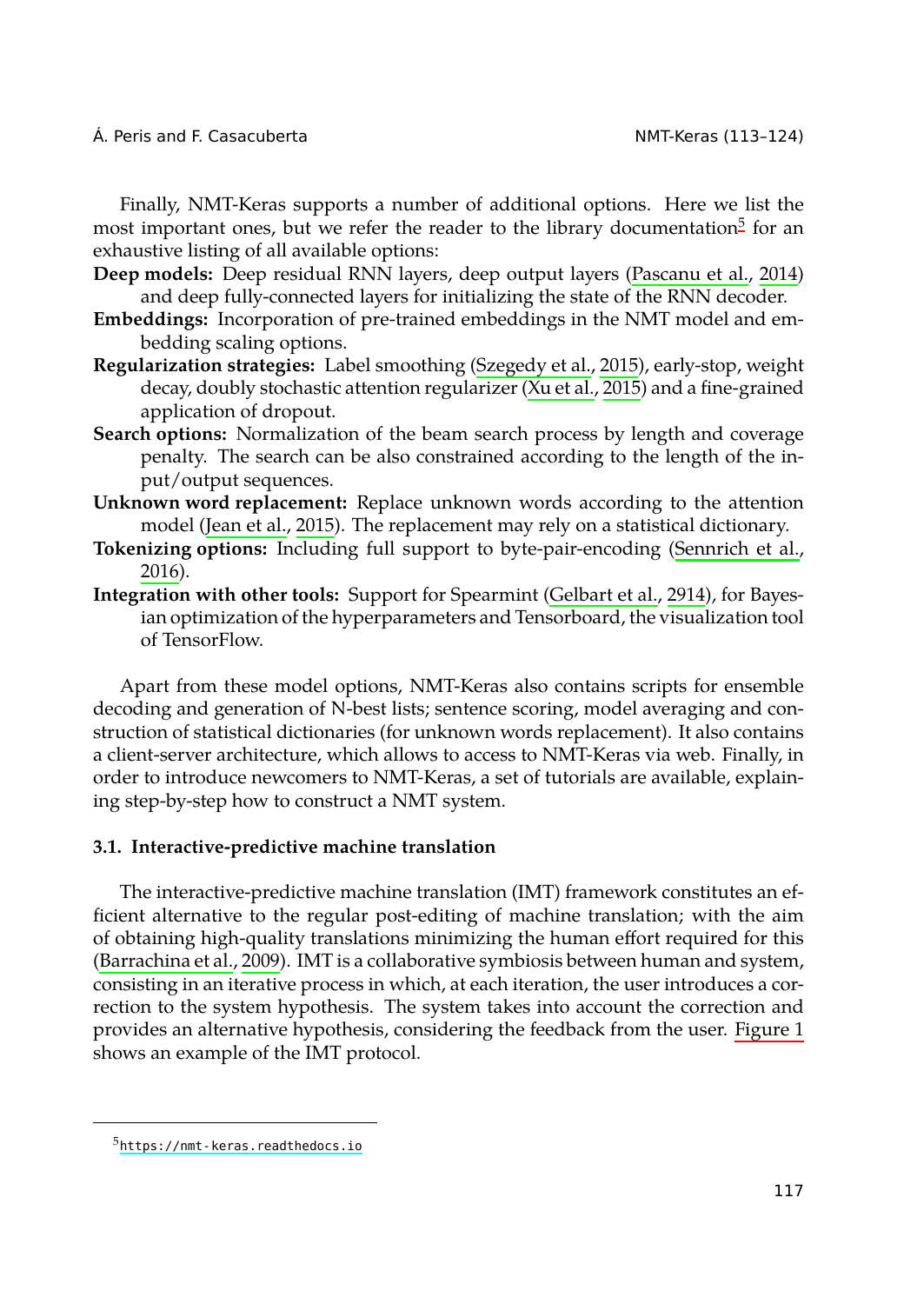Finally, NMT-Keras supports a number of additional options. Here we list the most important ones, but we refer the reader to the library documentation<sup>5</sup> for an exhaustive listing of all available options:

- **Deep models:** Deep residual RNN layers, deep output layers (Pascanu et al., 2014) and deep fully-connected layers for initializing the state of the RNN decoder.
- **Embeddings:** [Incorporation](#page-9-6) of pre-trained embeddings in the NMT [model and em](#page-10-3)bedding scaling options.
- **Regu[lariza](#page-10-3)tion strategies:** Label smoothing (Szegedy et al., 2015), early-stop, weight decay, doubly stochastic attention regularizer (Xu et al., [2015\) and a fi](#page-9-7)ne-grained application of dropout.
- **Search options:** Normalization of the beam search process by length and coverage penalty. The search can be also constrained according to the length of the input/output sequences.
- **Unknown word replacement:** Replace unknown words according to the attention model (Jean et al., 2015). The replacement may rely on a statistical dictionary.
- **Tokenizing options:** Including full support to byte-pair-encoding (Sennrich et al., 2016).
- **Integration with other tools:** Support for Spearmint (Gelbart et al., 2914), for Bayesian optimization of the hyperparameters and Tensorboard, the visualization tool of TensorFlow.

Apart from these model options, NMT-Keras also contains scripts for ensemble decoding and generation of N-best lists; sentence scoring, model averaging and construction of statistical dictionaries (for unknown words replacement). It also contains [a client-server architec](#page-8-6)ture, which allows to access to NMT-Keras via web. Finally, in order to introduce newcomers to NMT-Keras, a set of tutorials are available, explaining step-by-step how to construct a NMT system.

#### **3.1. Interactive-predictive machine translation**

The interactive-predictive machine translation (IMT) framework constitutes an efficient alternative to the regular post-editing of machine translation; with the aim of [obtaining high-quality transla](https://nmt-keras.readthedocs.io)tions minimizing the human effort required for this (Barrachina et al., 2009). IMT is a collaborative symbiosis between human and system, consisting in an iterative process in which, at each iteration, the user introduces a correction to the system hypothesis. The system takes into account the correction and provides an alternative hypothesis, considering the feedback from the user. Figure 1 shows an example of the IMT protocol.

<sup>5</sup>https://nmt-keras.readthedocs.io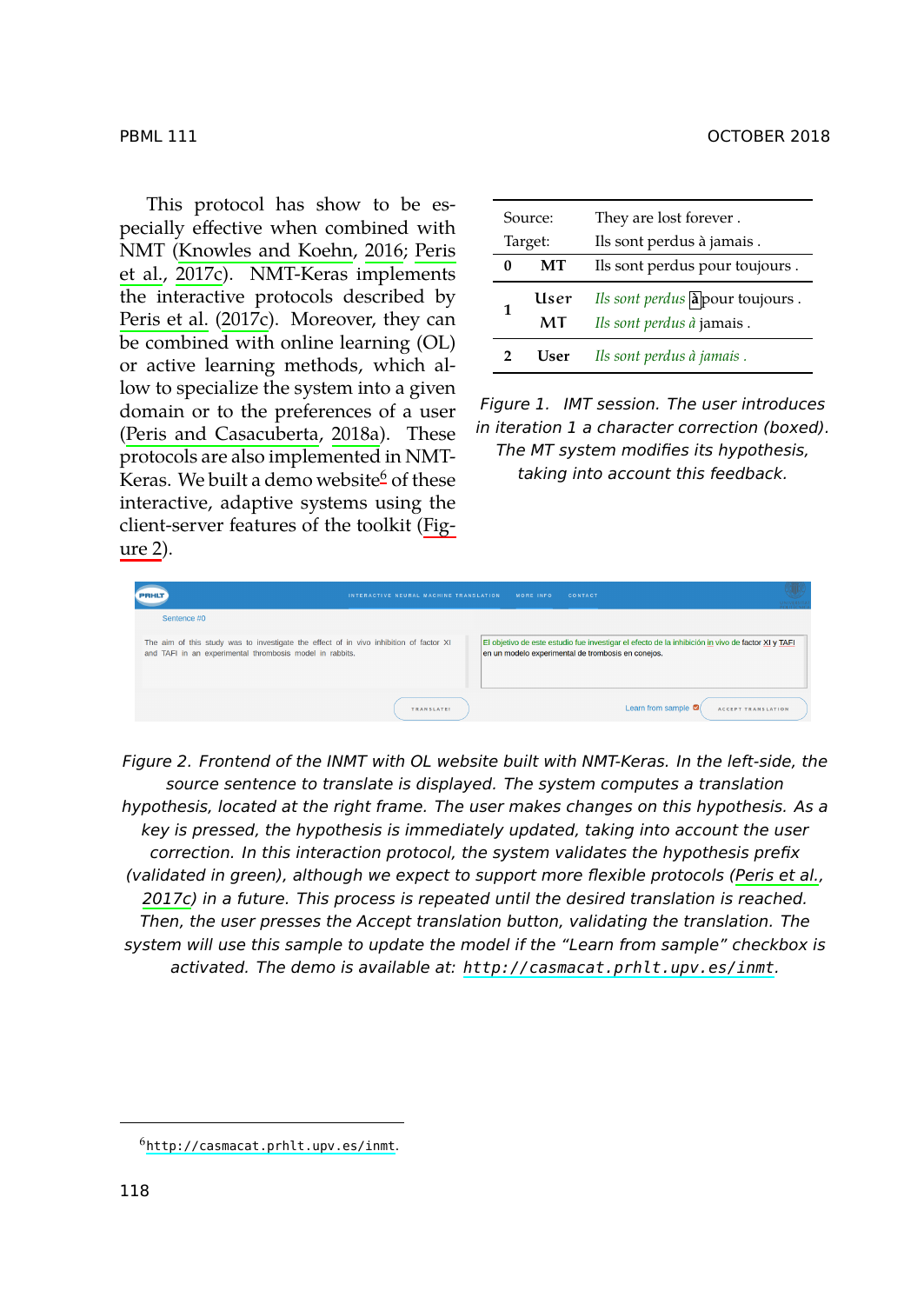This protocol has show to be es[pecially effective when](#page-10-4) [combin](#page-10-4)ed with NMT (Knowles and Koehn, 2[01](#page-5-0)6; Peris et al., 2017c). NMT-Keras implements the interactive protocols described by Peris et al. (2017c). Moreover, they [can](#page-5-1) [be co](#page-5-1)mbined with online learning (OL) or active learning methods, which allow to specialize the system into a given domain or to the preferences of a user (Peris and Casacuberta, 2018a). These protocols are also implemented in NMT-Keras. We built a demo website<sup>6</sup> of these interactive, adaptive systems using the client-server features of the toolkit (Figure 2).

| Source: |            | They are lost forever.                                       |  |  |
|---------|------------|--------------------------------------------------------------|--|--|
| Target: |            | Ils sont perdus à jamais.                                    |  |  |
| 0       | MТ         | Ils sont perdus pour toujours.                               |  |  |
| 1       | User<br>MT | Ils sont perdus apour toujours.<br>Ils sont perdus à jamais. |  |  |
|         | User       | Ils sont perdus à jamais.                                    |  |  |

<span id="page-5-1"></span>*Figure 1. IMT session. The user introduces in iteration 1 a character correction (boxed). The MT system modifies its hypothesis, taking into account this feedback.*

| <b>PRHU</b>                                                                                                                                        | INTERACTIVE NEURAL MACHINE TRANSLATION | MORE INFO. | CONTACT                                                                                                                                                 | <b>UNIVERSIT</b> |
|----------------------------------------------------------------------------------------------------------------------------------------------------|----------------------------------------|------------|---------------------------------------------------------------------------------------------------------------------------------------------------------|------------------|
| Sentence #0                                                                                                                                        |                                        |            |                                                                                                                                                         |                  |
| The aim of this study was to investigate the effect of in vivo inhibition of factor XI<br>and TAFI in an experimental thrombosis model in rabbits. |                                        |            | El objetivo de este estudio fue investigar el efecto de la inhibición in vivo de factor XI y TAFI<br>en un modelo experimental de trombosis en conejos. |                  |
|                                                                                                                                                    | <b>TRANSLATE!</b>                      |            | Learn from sample $\blacksquare$                                                                                                                        |                  |

<span id="page-5-0"></span>*Figure 2. Frontend of the INMT with OL we[bsite built with NMT-Keras. In the left-sid](http://casmacat.prhlt.upv.es/inmt)e, the source sentence to translate is displayed. The system computes a translation hypothesis, located at the right frame. The user makes changes on this hypothesis. As a key is pressed, the hypothesis is immediately updated, taking into account the user correction. In this interaction protocol, the system validates the hypothesis prefix (validated in green), although we expect to support more flexible protocols (Peris et al., 2017c) in a future. This process is repeated until the desired translation is reached. [Then, the user presses the Acce](http://casmacat.prhlt.upv.es/inmt)pt translation button, validating the translation. The system will use this sample to update the model if the "Learn from sample" checkbox is activated. The demo is available at: http://casmacat.prhlt.upv.es/inmt.*

#### PBML 111 OCTOBER 2018

 $<sup>6</sup>$ http://casmacat.prhlt.upv.es/inmt.</sup>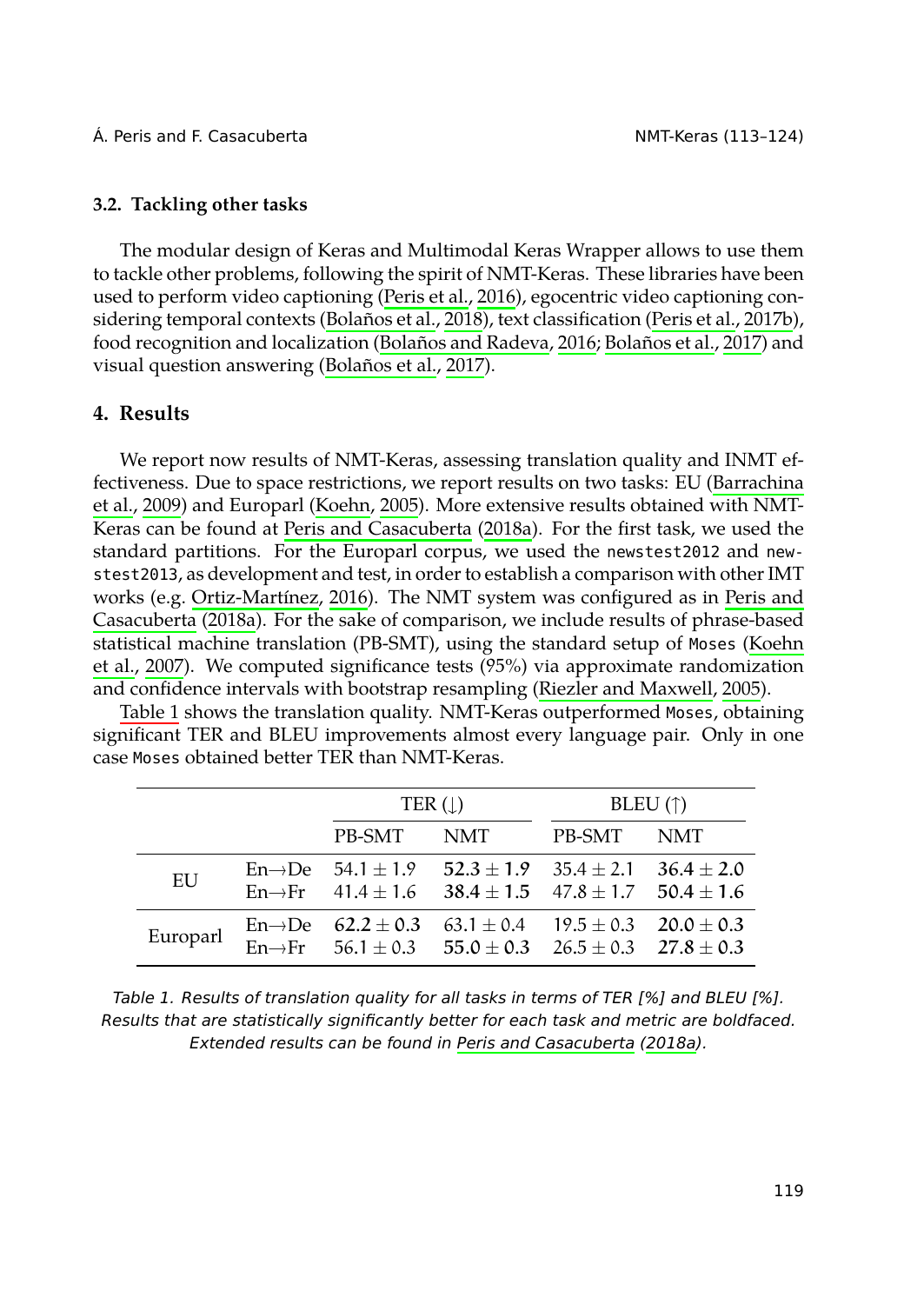<span id="page-6-0"></span>

## **3.2. Tackling other tasks**

The modular design of Keras and Multimodal Keras Wrapper allows to use them to tackle other problems, following the spirit of NMT-Keras. These librarie[s have been](#page-8-6) [used](#page-8-6) [to per](#page-8-6)form video cap[tioning \(Peris](#page-9-8) et al., 2016), egocentric video captioning considering temporal cont[exts \(Bolaños et al.,](#page-10-4) 2018[\), text](#page-10-4) classification (Peris et al., 2017b), food recognition and localization (Bolaños and Radeva, 2016; Bolaños et al., 2017) and visual ques[tion answering](#page-10-5) ([Bolañ](#page-10-5)os et al., 2017).

## **[4. Results](#page-10-4)**

[We repo](#page-9-9)rt now results of NMT-Keras, assessing translation quality and INMT effec[tiveness](#page-6-0). Due to space restrictions, we report resu[lts on two tasks: EU \(Barrac](#page-10-6)hina et al., 2009) and Europarl (Koehn, 2005). More extensive results obtained with NMT-Keras can be found at Peris and Casacuberta (2018a). For the first task, we used the standard partitions. For the Europarl corpus, we used the newstest2012 and newstest2013, as development and test, in order to establish a comparison with other IMT works (e.g. Ortiz-Martínez, 2016). The NMT system was configured as in Peris and Casacuberta (2018a). For the sake of comparison, we include results of phrase-based statistical machine translation (PB-SMT), using the standard setup of Moses (Koehn et al., 2007). We computed significance tests (95%) via approximate randomization and confidence intervals with bootstrap resampling (Riezler and Maxwell, 2005).

Table 1 shows the translation quality. NMT-Keras outperformed Moses, obtaining significant TER and BLEU improvements almost every language pair. Only in one case Moses obtained better TER than NMT-Keras.

|          | TER $( \downarrow )$               |                                                                                                                                 | BLEU $(\uparrow)$ |      |
|----------|------------------------------------|---------------------------------------------------------------------------------------------------------------------------------|-------------------|------|
|          | PB-SMT                             | NMT                                                                                                                             | PB-SMT            | NMT. |
| EU       | $En \rightarrow De$ 54.1 $\pm$ 1.9 | $52.3 + 1.9$ $35.4 + 2.1$ $36.4 + 2.0$<br>En $\rightarrow$ Fr 41.4 ± 1.6 38.4 ± 1.5 47.8 ± 1.7 50.4 ± 1.6                       |                   |      |
| Europarl | En $\rightarrow$ De 62.2 ± 0.3     | $63.1 \pm 0.4$ $19.5 \pm 0.3$ $20.0 \pm 0.3$<br>En $\rightarrow$ Fr 56.1 $\pm$ 0.3 55.0 $\pm$ 0.3 26.5 $\pm$ 0.3 27.8 $\pm$ 0.3 |                   |      |

| Table 1. Results of translation quality for all tasks in terms of TER [%] and BLEU [%].     |
|---------------------------------------------------------------------------------------------|
| Results that are statistically significantly better for each task and metric are boldfaced. |
| Extended results can be found in Peris and Casacuberta (2018a).                             |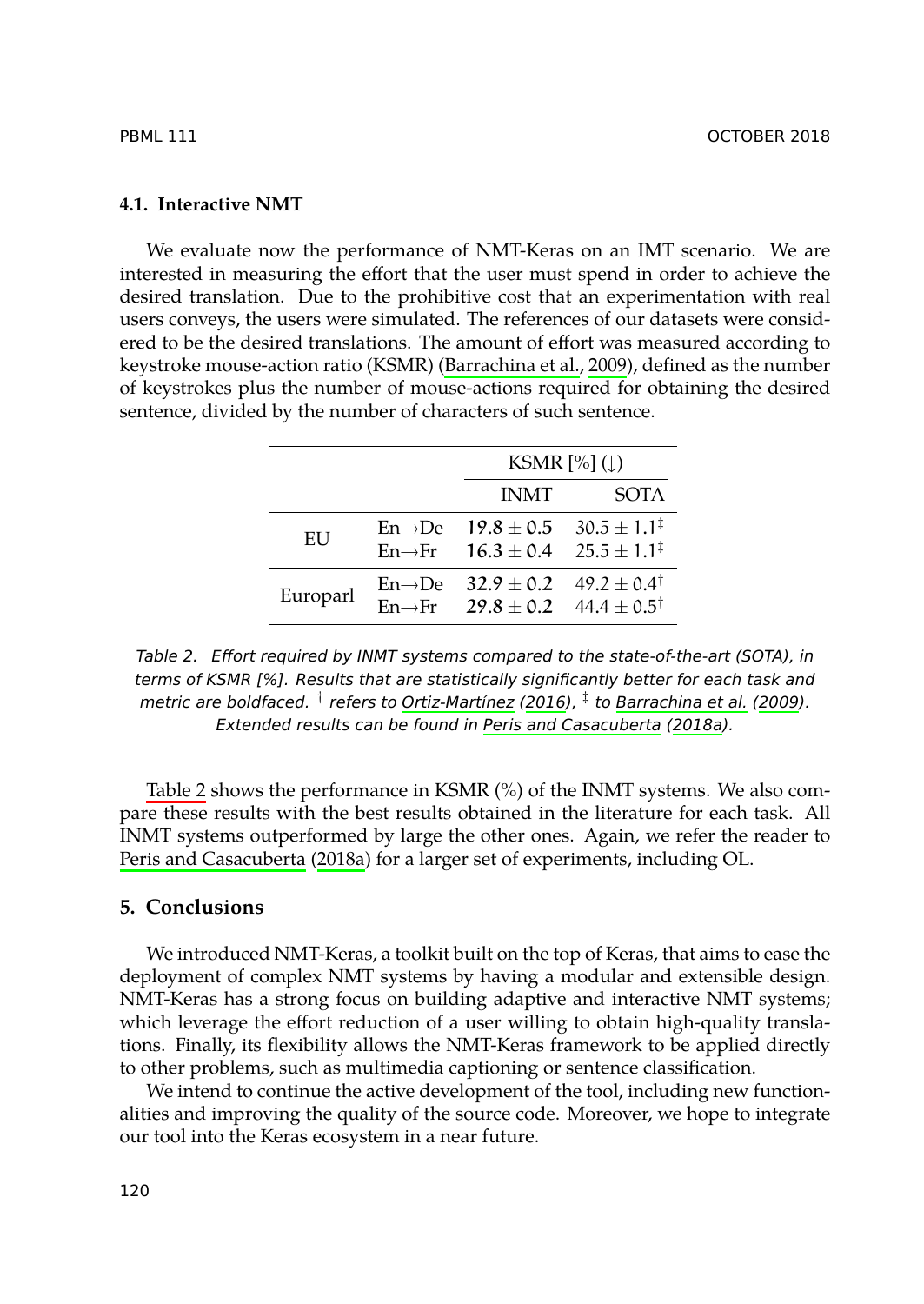## **4.1. Interactive NMT**

We evaluate now the performance of NMT-Keras on an IMT scenario. We are interested in measuring the effort that the user must spend in order to achieve the desired translation. Due to the prohibitive cost that an experimentation with real users conveys, the users were simulated. The references of our datasets were considered to be the desired translations. The amount of effort was measured according to keystroke mouse-action ratio (KSMR) (Barrachina et al., 2009), defined as the number of keystrokes plus the number of mouse-actions required for obtaining the desired sentence, divided by the number of characters of such sentence.

|          |                     | KSMR $[\%]$ ( $\downarrow$ )                                                                         |                           |  |
|----------|---------------------|------------------------------------------------------------------------------------------------------|---------------------------|--|
|          |                     | <b>INMT</b>                                                                                          | <b>SOTA</b>               |  |
| EU       |                     | En $\rightarrow$ De 19.8 $\pm$ 0.5<br>En $\rightarrow$ Fr 16.3 $\pm$ 0.4 25.5 $\pm$ 1.1 <sup>‡</sup> | $30.5 \pm 1.1^{\ddagger}$ |  |
| Europarl | $En \rightarrow De$ | $32.9 \pm 0.2$<br>En $\rightarrow$ Fr 29.8 ± 0.2 44.4 ± 0.5 <sup>†</sup>                             | $49.2 \pm 0.4^{\dagger}$  |  |

*Table 2. [Effort required by IN](#page-10-4)MT systems compared to the state-of-the-art (SOTA), in terms of KSMR [%]. Results that are statistically significantly better for each task and metric are boldfaced. † refers to Ortiz-Martínez (2016), ‡ to Barrachina et al. (2009). Extended results can be found in Peris and Casacuberta (2018a).*

Table 2 shows the performance in KSMR (%) of the INMT systems. We also compare these results with the best results obtained in the literature for each task. All INMT systems outperformed by large the other ones. Again, we refer the reader to Peris and Casacuberta (2018a) for a larger set of experiments, including OL.

## **5. Conclusions**

We introduced NMT-Keras, a toolkit built on the top of Keras, that aims to ease the deployment of complex NMT systems by having a modular and extensible design. NMT-Keras has a strong focus on building adaptive and interactive NMT systems; which leverage the effort reduction of a user willing to obtain high-quality translations. Finally, its flexibility allows the NMT-Keras framework to be applied directly to other problems, such as multimedia captioning or sentence classification.

We intend to continue the active development of the tool, including new functionalities and improving the quality of the source code. Moreover, we hope to integrate our tool into the Keras ecosystem in a near future.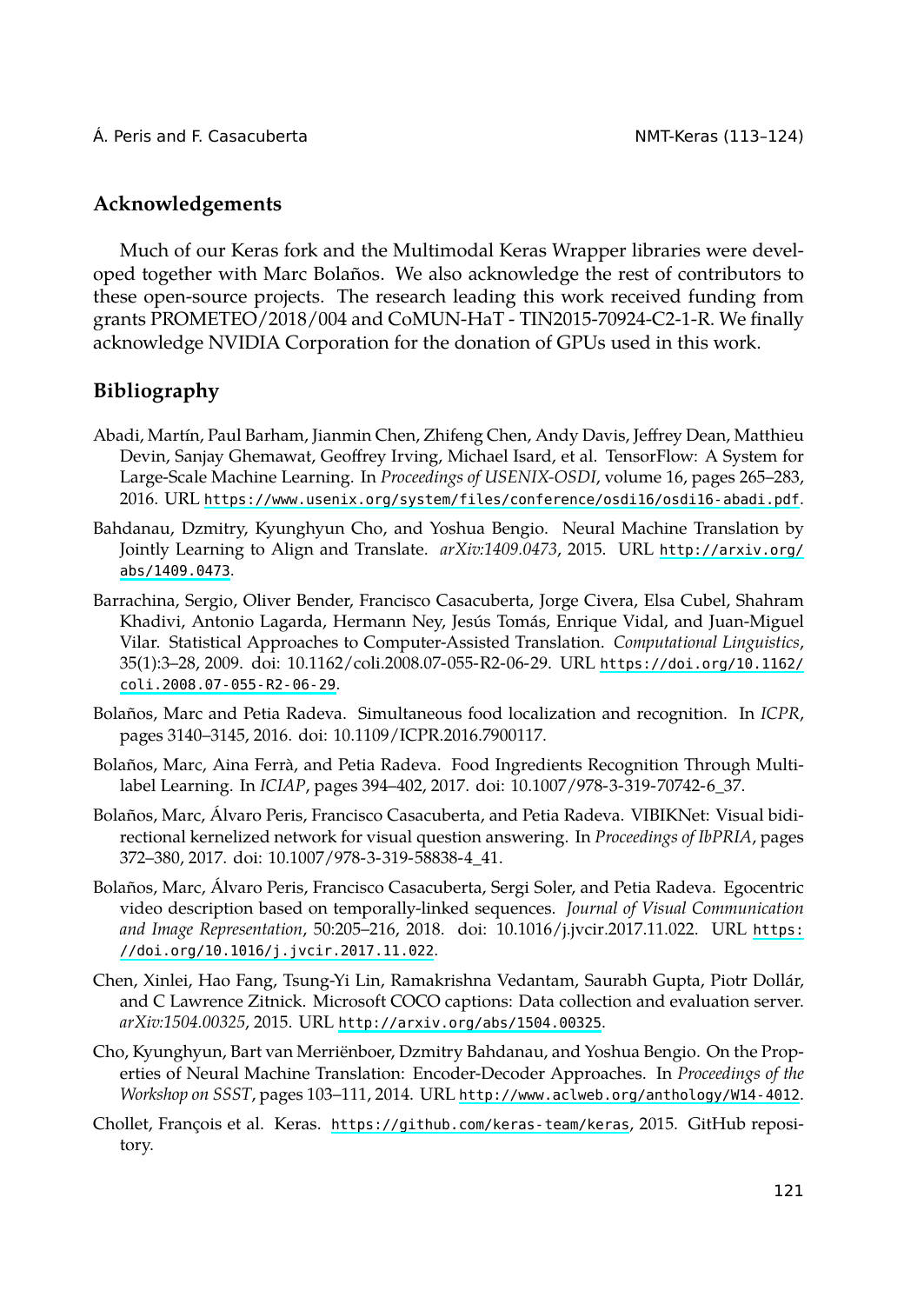## <span id="page-8-1"></span>**Acknowledgements**

<span id="page-8-4"></span>Much of our Keras fork and the Multimodal Keras Wrapper libraries were developed together with Marc Bolaños. We also acknowledge the rest of contributors to these open-s[ource projects. The research leading this work received funding from](https://www.usenix.org/system/files/conference/osdi16/osdi16-abadi.pdf) grants PROMETEO/2018/004 and CoMUN-HaT - TIN2015-70924-C2-1-R. We finally ac[knowledge NV](http://arxiv.org/abs/1409.0473)IDIA Corporation for the donation of GPUs used [in this work.](http://arxiv.org/abs/1409.0473)

## <span id="page-8-6"></span>**Bibliography**

- Abadi, Martín, Paul Barham, Jianmin Chen, Zhifeng Chen, Andy Davis, Jeffrey Dean, Matthieu Devin, Sanjay Ghemawat, Geoffrey Irving, Michael Isard, et al. [TensorFlow: A System for](https://doi.org/10.1162/coli.2008.07-055-R2-06-29) [Large-Scale Machine Learnin](https://doi.org/10.1162/coli.2008.07-055-R2-06-29)g. In *Proceedings of USENIX-OSDI*, volume 16, pages 265–283, 2016. URL https://www.usenix.org/system/files/conference/osdi16/osdi16-abadi.pdf.
- <span id="page-8-7"></span>Bahdanau, Dzmitry, Kyunghyun Cho, and Yoshua Bengio. Neural Machine Translation by Jointly Learning to Align and Translate. *arXiv:1409.0473*, 2015. URL http://arxiv.org/ abs/1409.0473.
- Barrachina, Sergio, Oliver Bender, Francisco Casacuberta, Jorge Civera, Elsa Cubel, Shahram Khadivi, Antonio Lagarda, Hermann Ney, Jesús Tomás, Enrique Vidal, and Juan-Miguel Vilar. Statistical Approaches to Computer-Assisted Translation. *Computational Linguistics*, 35(1):3–28, 2009. doi: 10.1162/coli.2008.07-055-R2-06-29. URL https://doi.org/10.1162/ coli.2008.07-055-R2-06-29.
- <span id="page-8-5"></span>Bolaños, Marc and Petia Radeva. Simultaneous food localization and recognition. In *[ICPR](https://doi.org/10.1016/j.jvcir.2017.11.022)*, [pages 3140–3145, 2016. doi: 10.1109/ICPR](https://doi.org/10.1016/j.jvcir.2017.11.022).2016.7900117.
- <span id="page-8-2"></span>Bolaños, Marc, Aina Ferrà, and Petia Radeva. Food Ingredients Recognition Through Multilabel Learning. In *ICIAP*, pages 394–402, 2017. doi: 10.1007/978-3-319-70742-6\_37.
- <span id="page-8-3"></span>Bolaños, Marc, Álvaro Peris, Fra[ncisco Casacuberta, and Petia Rade](http://arxiv.org/abs/1504.00325)va. VIBIKNet: Visual bidirectional kernelized network for visual question answering. In *Proceedings of IbPRIA*, pages 372–380, 2017. doi: 10.1007/978-3-319-58838-4\_41.
- <span id="page-8-0"></span>Bolaños, Marc, Álvaro Peris, Francisco Casacub[erta, Sergi Soler, and Petia Radeva. Egocentric](http://www.aclweb.org/anthology/W14-4012) video description based on [temporally-linked sequences.](https://github.com/keras-team/keras) *Journal of Visual Communication and Image Representation*, 50:205–216, 2018. doi: 10.1016/j.jvcir.2017.11.022. URL https: //doi.org/10.1016/j.jvcir.2017.11.022.
- Chen, Xinlei, Hao Fang, Tsung-Yi Lin, Ramakrishna Vedantam, Saurabh Gupta, Piotr Dollár, and C Lawrence Zitnick. Microsoft COCO captions: Data collection and evaluation server. *arXiv:1504.00325*, 2015. URL http://arxiv.org/abs/1504.00325.
- Cho, Kyunghyun, Bart van Merriënboer, Dzmitry Bahdanau, and Yoshua Bengio. On the Properties of Neural Machine Translation: Encoder-Decoder Approaches. In *Proceedings of the Workshop on SSST*, pages 103–111, 2014. URL http://www.aclweb.org/anthology/W14-4012.
- Chollet, François et al. Keras. https://github.com/keras-team/keras, 2015. GitHub repository.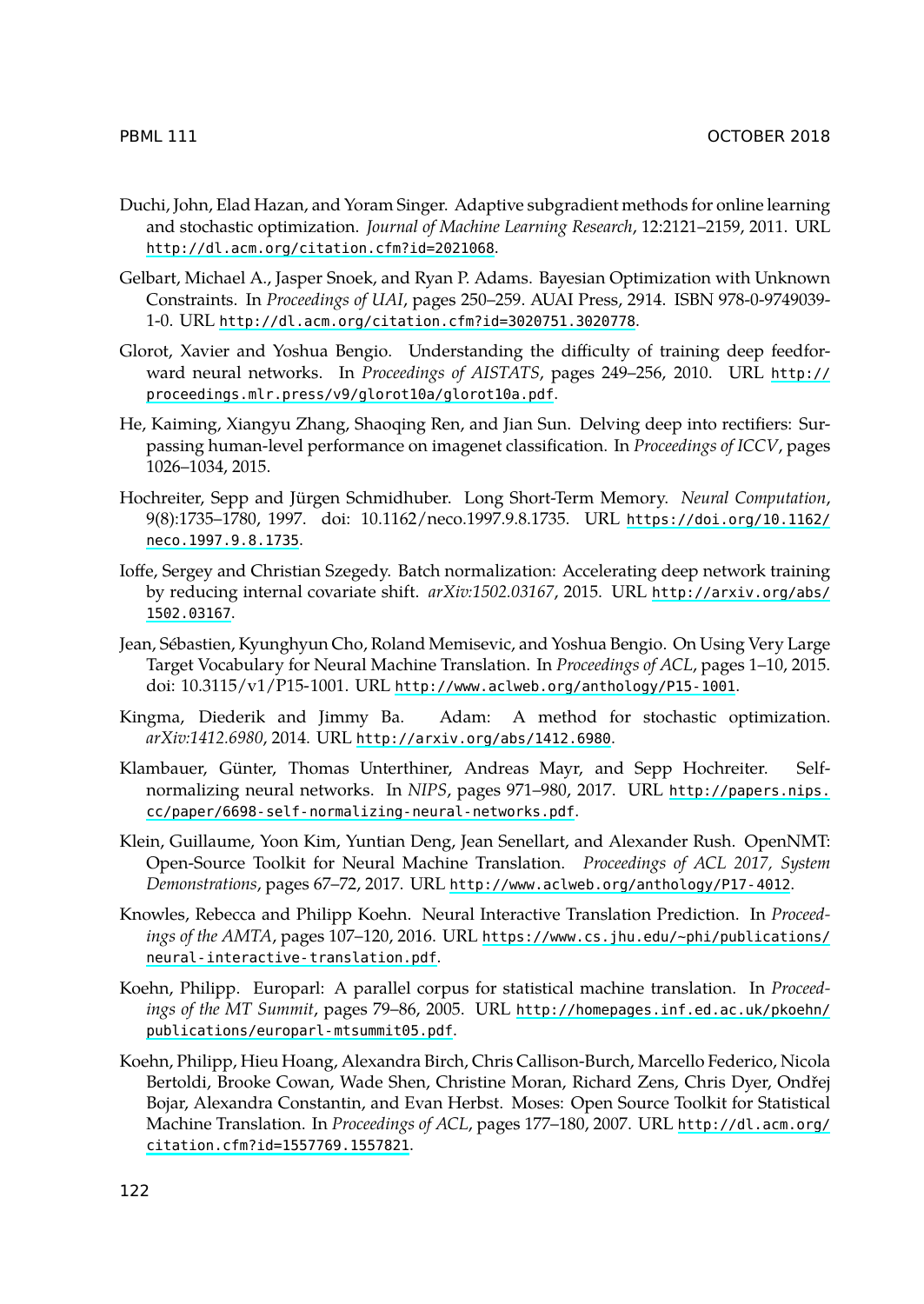- <span id="page-9-7"></span><span id="page-9-4"></span><span id="page-9-2"></span><span id="page-9-1"></span>Duchi, John, Elad Hazan, and Yoram Singer. Adaptive subgradient methods for online learning and stochastic optimization. *Journal of Machine Learning Research*, 12:2121–2159, 2011. URL http://dl.acm.org/citation.cfm?id=2021068.
- <span id="page-9-0"></span>Gelbart, Michael A., Jasper Snoek, and Ryan P. Adams. Bayesian Optimization with Unknown Constraints. In *Proceedings of UAI*, pages 250–259. AUAI Press, [2914. ISBN 978-0-9749039-](https://doi.org/10.1162/neco.1997.9.8.1735) 1-0. URL [http://dl.](https://doi.org/10.1162/neco.1997.9.8.1735)acm.org/citation.cfm?id=3020751.3020778.
- Glorot, Xavier and Yoshua Bengio. Understanding the difficulty of training deep feedforward neural networks. In *Proceedings of AISTATS*, pages 249–2[56, 2010. URL](http://arxiv.org/abs/1502.03167) http:// [proceedings](http://arxiv.org/abs/1502.03167).mlr.press/v9/glorot10a/glorot10a.pdf.
- <span id="page-9-6"></span>He, Kaiming, Xiangyu Zhang, Shaoqing Ren, and Jian Sun. Delving deep into rectifiers: Surpassing human-level performance on imagenet classification. In *Proceedings of ICCV*, pages 1026–1034, 2015.
- <span id="page-9-5"></span>Hochreiter, Sepp and Jürgen Schmidhuber. Long Short-Term Memory. *Neural Computation*, 9(8):1735–1780, 1997. doi: [10.1162/neco.1997.9.8.1735. URL](http://arxiv.org/abs/1412.6980) https://doi.org/10.1162/ neco.1997.9.8.1735.
- <span id="page-9-3"></span>Ioffe, Sergey and Christian Szegedy. Batch normalization: Accelerating [deep network training](http://papers.nips.cc/paper/6698-self-normalizing-neural-networks.pdf) [by reducing internal covariate shift.](http://papers.nips.cc/paper/6698-self-normalizing-neural-networks.pdf) *arXiv:1502.03167*, 2015. URL http://arxiv.org/abs/ 1502.03167.
- Jean, Sébastien, Kyunghyun Cho, Roland Memisevic, and Yoshua Bengio. On Using Very Large Target Vocabulary for Neural Machine Translation. In *[Proceedings of ACL](http://www.aclweb.org/anthology/P17-4012)*, pages 1–10, 2015. doi: 10.3115/v1/P15-1001. URL http://www.aclweb.org/anthology/P15-1001.
- Kingma, Diederik and Jimmy Ba. Ada[m: A method for stochastic optimization.](https://www.cs.jhu.edu/~phi/publications/neural-interactive-translation.pdf) *[arXiv:1412.6980](https://www.cs.jhu.edu/~phi/publications/neural-interactive-translation.pdf)*, 2014. URL http://arxiv.org/abs/1412.6980.
- <span id="page-9-8"></span>Klambauer, Günter, Thomas Unterthiner, Andreas Mayr, and Sepp Hochreiter. Selfnormalizing neural networks. In *NIPS*, pages 9[71–980, 2017. URL](http://homepages.inf.ed.ac.uk/pkoehn/publications/europarl-mtsummit05.pdf) http://papers.nips. [cc/paper/6698-self-normalizing-neura](http://homepages.inf.ed.ac.uk/pkoehn/publications/europarl-mtsummit05.pdf)l-networks.pdf.
- <span id="page-9-9"></span>Klein, Guillaume, Yoon Kim, Yuntian Deng, Jean Senellart, and Alexander Rush. OpenNMT: Open-Source Toolkit for Neural Machine Translation. *Proceedings of ACL 2017, System Demonstrations*, pages 67–72, 2017. URL http://www.aclweb.org/anthology/P17-4012.
- Knowles, Rebecca and Philipp Koehn. Neural Interactive Translation Pr[ediction. In](http://dl.acm.org/citation.cfm?id=1557769.1557821) *Proceedings of the AMTA*[, pages 107–120, 20](http://dl.acm.org/citation.cfm?id=1557769.1557821)16. URL https://www.cs.jhu.edu/~phi/publications/ neural-interactive-translation.pdf.
- Koehn, Philipp. Europarl: A parallel corpus for statistical machine translation. In *Proceedings of the MT Summit*, pages 79–86, 2005. URL http://homepages.inf.ed.ac.uk/pkoehn/ publications/europarl-mtsummit05.pdf.
- Koehn, Philipp, Hieu Hoang, Alexandra Birch, Chris Callison-Burch, Marcello Federico, Nicola Bertoldi, Brooke Cowan, Wade Shen, Christine Moran, Richard Zens, Chris Dyer, Ondřej Bojar, Alexandra Constantin, and Evan Herbst. Moses: Open Source Toolkit for Statistical Machine Translation. In *Proceedings of ACL*, pages 177–180, 2007. URL http://dl.acm.org/ citation.cfm?id=1557769.1557821.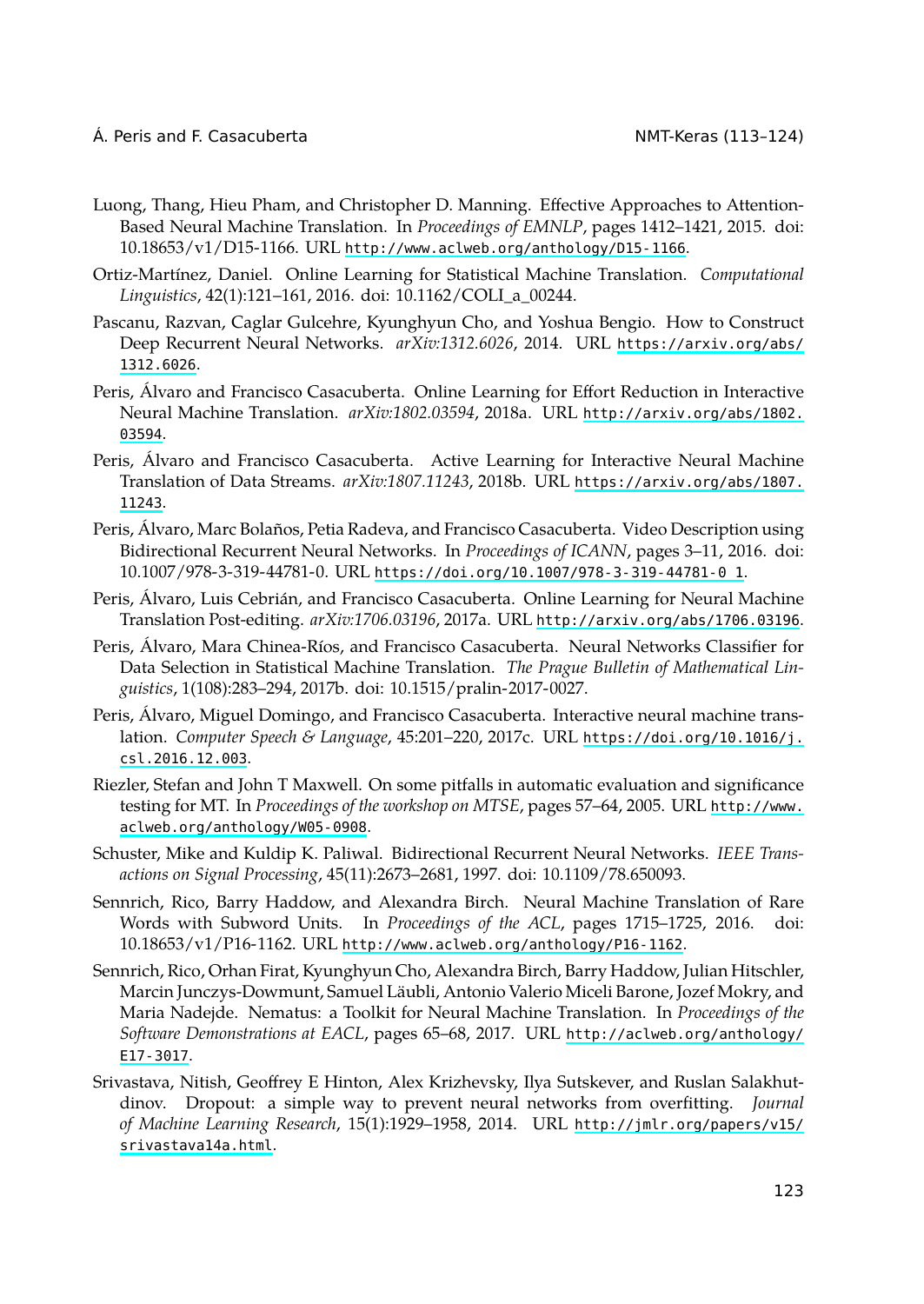- <span id="page-10-5"></span><span id="page-10-4"></span><span id="page-10-1"></span>Luong, Thang, Hieu Pham, and Christopher D. Manning. Effec[tive Approaches to Attention-](http://arxiv.org/abs/1802.03594)[Based](http://arxiv.org/abs/1802.03594) Neural Machine Translation. In *Proceedings of EMNLP*, pages 1412–1421, 2015. doi: 10.18653/v1/D15-1166. URL http://www.aclweb.org/anthology/D15-1166.
- Ortiz-Martínez, Daniel. Online Learning for Statistical Machi[ne Translation.](https://arxiv.org/abs/1807.11243) *Computational [Lingui](https://arxiv.org/abs/1807.11243)stics*, 42(1):121–161, 2016. doi: 10.1162/COLI\_a\_00244.
- Pascanu, Razvan, Caglar Gulcehre, Kyunghyun Cho, and Yoshua Bengio. How to Construct Deep Recurrent Neural Networks. *[arXiv:1312.6026](https://doi.org/10.1007/978-3-319-44781-0_1)*, 2014. URL https://arxiv.org/abs/ 1312.6026.
- Peris, Álvaro and Francisco Casacuberta. Online Learning for Effort Reduction in Interactive Neural Machine Translation. *arXiv:1802.03594*, 2018a. URL [http://arxiv.org/abs/1802.](http://arxiv.org/abs/1706.03196) 03594.
- Peris, Álvaro and Francisco Casacuberta. Active Learning for Interactive Neural Machine Translation of Data Streams. *arXiv:1807.11243*, 2018b. URL https://arxiv.org/abs/1807. 11243.
- Peris, Álvaro, Marc Bolaños, Petia Radeva, and Francisco Casacu[berta. Video Description using](https://doi.org/10.1016/j.csl.2016.12.003) [Bidirectional Rec](https://doi.org/10.1016/j.csl.2016.12.003)urrent Neural Networks. In *Proceedings of ICANN*, pages 3–11, 2016. doi: 10.1007/978-3-319-44781-0. URL https://doi.org/10.1007/978-3-319-44781-0\_1.
- <span id="page-10-6"></span>Peris, Álvaro, Luis Cebrián, and Francisco Casacuberta. Online Learning for Ne[ural Machine](http://www.aclweb.org/anthology/W05-0908) [Translation Post-editing.](http://www.aclweb.org/anthology/W05-0908) *arXiv:1706.03196*, 2017a. URL http://arxiv.org/abs/1706.03196.
- <span id="page-10-3"></span><span id="page-10-0"></span>Peris, Álvaro, Mara Chinea-Ríos, and Francisco Casacuberta. Neural Networks Classifier for Data Selection in Statistical Machine Translation. *The Prague Bulletin of Mathematical Linguistics*, 1(108):283–294, 2017b. doi: 10.1515/pralin-2017-0027.
- <span id="page-10-2"></span>Peris, Álvaro, Miguel Domingo, and Francisco Casacuberta. Interactive neural machine translation. *Computer Speech & Language*[, 45:201–220, 2017c. URL](http://www.aclweb.org/anthology/P16-1162) https://doi.org/10.1016/j. csl.2016.12.003.
- Riezler, Stefan and John T Maxwell. On some pitfalls in automatic evaluation and significance testing for MT. In *Proceedings of the workshop on MTSE*, page[s 57–64, 2005. URL](http://aclweb.org/anthology/E17-3017) http://www. aclweb.org/anthology/W05-0908.
- Sch[uster, Mik](http://aclweb.org/anthology/E17-3017)e and Kuldip K. Paliwal. Bidirectional Recurrent Neural Networks. *IEEE Transactions on Signal Processing*, 45(11):2673–2681, 1997. doi: 10.1109/78.650093.
- Sennrich, Rico, Barry Haddow, and Alexandra Birch. Neura[l Machine Translation of Rare](http://jmlr.org/papers/v15/srivastava14a.html) [Words with Subwo](http://jmlr.org/papers/v15/srivastava14a.html)rd Units. In *Proceedings of the ACL*, pages 1715–1725, 2016. doi: 10.18653/v1/P16-1162. URL http://www.aclweb.org/anthology/P16-1162.
- Sennrich, Rico, Orhan Firat, Kyunghyun Cho, Alexandra Birch, Barry Haddow, Julian Hitschler, Marcin Junczys-Dowmunt, Samuel Läubli, Antonio Valerio Miceli Barone, Jozef Mokry, and Maria Nadejde. Nematus: a Toolkit for Neural Machine Translation. In *Proceedings of the Software Demonstrations at EACL*, pages 65–68, 2017. URL http://aclweb.org/anthology/ E17-3017.
- Srivastava, Nitish, Geoffrey E Hinton, Alex Krizhevsky, Ilya Sutskever, and Ruslan Salakhutdinov. Dropout: a simple way to prevent neural networks from overfitting. *Journal of Machine Learning Research*, 15(1):1929–1958, 2014. URL http://jmlr.org/papers/v15/ srivastava14a.html.